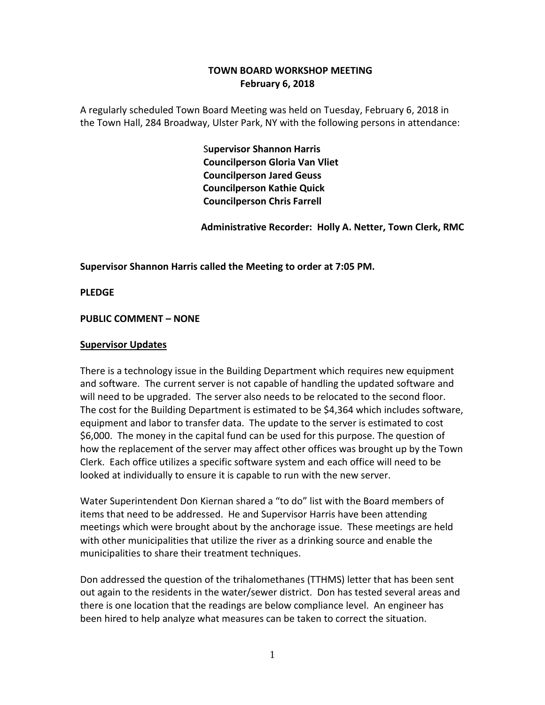## **TOWN BOARD WORKSHOP MEETING February 6, 2018**

A regularly scheduled Town Board Meeting was held on Tuesday, February 6, 2018 in the Town Hall, 284 Broadway, Ulster Park, NY with the following persons in attendance:

> S**upervisor Shannon Harris Councilperson Gloria Van Vliet Councilperson Jared Geuss Councilperson Kathie Quick Councilperson Chris Farrell**

 **Administrative Recorder: Holly A. Netter, Town Clerk, RMC**

**Supervisor Shannon Harris called the Meeting to order at 7:05 PM.**

**PLEDGE**

### **PUBLIC COMMENT – NONE**

#### **Supervisor Updates**

There is a technology issue in the Building Department which requires new equipment and software. The current server is not capable of handling the updated software and will need to be upgraded. The server also needs to be relocated to the second floor. The cost for the Building Department is estimated to be \$4,364 which includes software, equipment and labor to transfer data. The update to the server is estimated to cost \$6,000. The money in the capital fund can be used for this purpose. The question of how the replacement of the server may affect other offices was brought up by the Town Clerk. Each office utilizes a specific software system and each office will need to be looked at individually to ensure it is capable to run with the new server.

Water Superintendent Don Kiernan shared a "to do" list with the Board members of items that need to be addressed. He and Supervisor Harris have been attending meetings which were brought about by the anchorage issue. These meetings are held with other municipalities that utilize the river as a drinking source and enable the municipalities to share their treatment techniques.

Don addressed the question of the trihalomethanes (TTHMS) letter that has been sent out again to the residents in the water/sewer district. Don has tested several areas and there is one location that the readings are below compliance level. An engineer has been hired to help analyze what measures can be taken to correct the situation.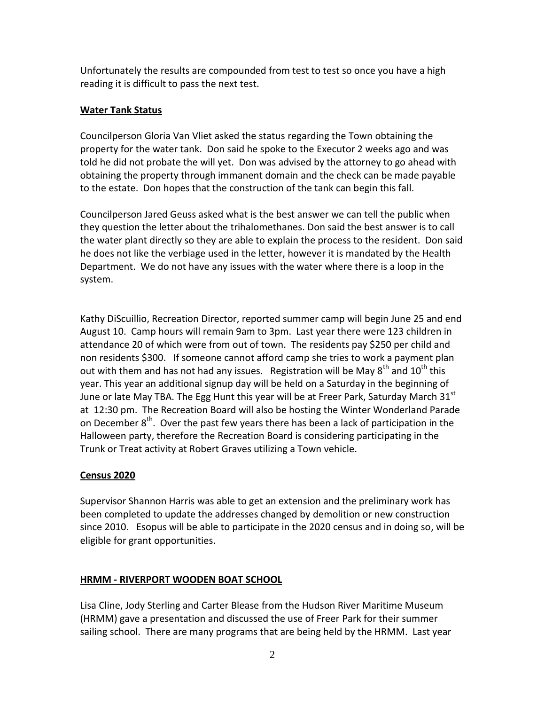Unfortunately the results are compounded from test to test so once you have a high reading it is difficult to pass the next test.

## **Water Tank Status**

Councilperson Gloria Van Vliet asked the status regarding the Town obtaining the property for the water tank. Don said he spoke to the Executor 2 weeks ago and was told he did not probate the will yet. Don was advised by the attorney to go ahead with obtaining the property through immanent domain and the check can be made payable to the estate. Don hopes that the construction of the tank can begin this fall.

Councilperson Jared Geuss asked what is the best answer we can tell the public when they question the letter about the trihalomethanes. Don said the best answer is to call the water plant directly so they are able to explain the process to the resident. Don said he does not like the verbiage used in the letter, however it is mandated by the Health Department. We do not have any issues with the water where there is a loop in the system.

Kathy DiScuillio, Recreation Director, reported summer camp will begin June 25 and end August 10. Camp hours will remain 9am to 3pm. Last year there were 123 children in attendance 20 of which were from out of town. The residents pay \$250 per child and non residents \$300. If someone cannot afford camp she tries to work a payment plan out with them and has not had any issues. Registration will be May  $8^{th}$  and  $10^{th}$  this year. This year an additional signup day will be held on a Saturday in the beginning of June or late May TBA. The Egg Hunt this year will be at Freer Park, Saturday March 31<sup>st</sup> at 12:30 pm. The Recreation Board will also be hosting the Winter Wonderland Parade on December  $8^{th}$ . Over the past few years there has been a lack of participation in the Halloween party, therefore the Recreation Board is considering participating in the Trunk or Treat activity at Robert Graves utilizing a Town vehicle.

# **Census 2020**

Supervisor Shannon Harris was able to get an extension and the preliminary work has been completed to update the addresses changed by demolition or new construction since 2010. Esopus will be able to participate in the 2020 census and in doing so, will be eligible for grant opportunities.

## **HRMM - RIVERPORT WOODEN BOAT SCHOOL**

Lisa Cline, Jody Sterling and Carter Blease from the Hudson River Maritime Museum (HRMM) gave a presentation and discussed the use of Freer Park for their summer sailing school. There are many programs that are being held by the HRMM. Last year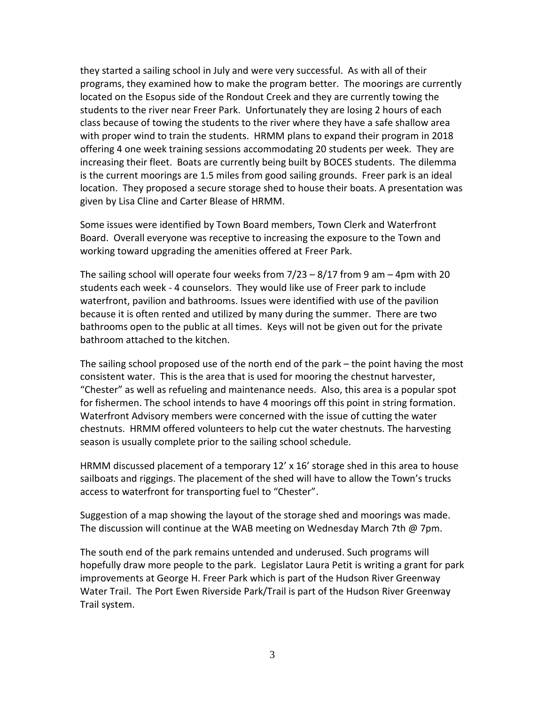they started a sailing school in July and were very successful. As with all of their programs, they examined how to make the program better. The moorings are currently located on the Esopus side of the Rondout Creek and they are currently towing the students to the river near Freer Park. Unfortunately they are losing 2 hours of each class because of towing the students to the river where they have a safe shallow area with proper wind to train the students. HRMM plans to expand their program in 2018 offering 4 one week training sessions accommodating 20 students per week. They are increasing their fleet. Boats are currently being built by BOCES students. The dilemma is the current moorings are 1.5 miles from good sailing grounds. Freer park is an ideal location. They proposed a secure storage shed to house their boats. A presentation was given by Lisa Cline and Carter Blease of HRMM.

Some issues were identified by Town Board members, Town Clerk and Waterfront Board. Overall everyone was receptive to increasing the exposure to the Town and working toward upgrading the amenities offered at Freer Park.

The sailing school will operate four weeks from  $7/23 - 8/17$  from 9 am  $-4$ pm with 20 students each week - 4 counselors. They would like use of Freer park to include waterfront, pavilion and bathrooms. Issues were identified with use of the pavilion because it is often rented and utilized by many during the summer. There are two bathrooms open to the public at all times. Keys will not be given out for the private bathroom attached to the kitchen.

The sailing school proposed use of the north end of the park – the point having the most consistent water. This is the area that is used for mooring the chestnut harvester, "Chester" as well as refueling and maintenance needs. Also, this area is a popular spot for fishermen. The school intends to have 4 moorings off this point in string formation. Waterfront Advisory members were concerned with the issue of cutting the water chestnuts. HRMM offered volunteers to help cut the water chestnuts. The harvesting season is usually complete prior to the sailing school schedule.

HRMM discussed placement of a temporary 12' x 16' storage shed in this area to house sailboats and riggings. The placement of the shed will have to allow the Town's trucks access to waterfront for transporting fuel to "Chester".

Suggestion of a map showing the layout of the storage shed and moorings was made. The discussion will continue at the WAB meeting on Wednesday March 7th @ 7pm.

The south end of the park remains untended and underused. Such programs will hopefully draw more people to the park. Legislator Laura Petit is writing a grant for park improvements at George H. Freer Park which is part of the Hudson River Greenway Water Trail. The Port Ewen Riverside Park/Trail is part of the Hudson River Greenway Trail system.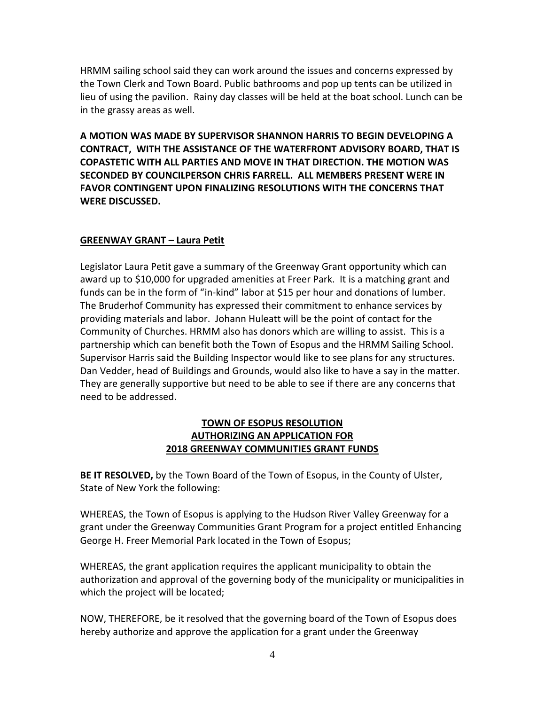HRMM sailing school said they can work around the issues and concerns expressed by the Town Clerk and Town Board. Public bathrooms and pop up tents can be utilized in lieu of using the pavilion. Rainy day classes will be held at the boat school. Lunch can be in the grassy areas as well.

**A MOTION WAS MADE BY SUPERVISOR SHANNON HARRIS TO BEGIN DEVELOPING A CONTRACT, WITH THE ASSISTANCE OF THE WATERFRONT ADVISORY BOARD, THAT IS COPASTETIC WITH ALL PARTIES AND MOVE IN THAT DIRECTION. THE MOTION WAS SECONDED BY COUNCILPERSON CHRIS FARRELL. ALL MEMBERS PRESENT WERE IN FAVOR CONTINGENT UPON FINALIZING RESOLUTIONS WITH THE CONCERNS THAT WERE DISCUSSED.** 

### **GREENWAY GRANT – Laura Petit**

Legislator Laura Petit gave a summary of the Greenway Grant opportunity which can award up to \$10,000 for upgraded amenities at Freer Park. It is a matching grant and funds can be in the form of "in-kind" labor at \$15 per hour and donations of lumber. The Bruderhof Community has expressed their commitment to enhance services by providing materials and labor. Johann Huleatt will be the point of contact for the Community of Churches. HRMM also has donors which are willing to assist. This is a partnership which can benefit both the Town of Esopus and the HRMM Sailing School. Supervisor Harris said the Building Inspector would like to see plans for any structures. Dan Vedder, head of Buildings and Grounds, would also like to have a say in the matter. They are generally supportive but need to be able to see if there are any concerns that need to be addressed.

### **TOWN OF ESOPUS RESOLUTION AUTHORIZING AN APPLICATION FOR 2018 GREENWAY COMMUNITIES GRANT FUNDS**

**BE IT RESOLVED,** by the Town Board of the Town of Esopus, in the County of Ulster, State of New York the following:

WHEREAS, the Town of Esopus is applying to the Hudson River Valley Greenway for a grant under the Greenway Communities Grant Program for a project entitled Enhancing George H. Freer Memorial Park located in the Town of Esopus;

WHEREAS, the grant application requires the applicant municipality to obtain the authorization and approval of the governing body of the municipality or municipalities in which the project will be located;

NOW, THEREFORE, be it resolved that the governing board of the Town of Esopus does hereby authorize and approve the application for a grant under the Greenway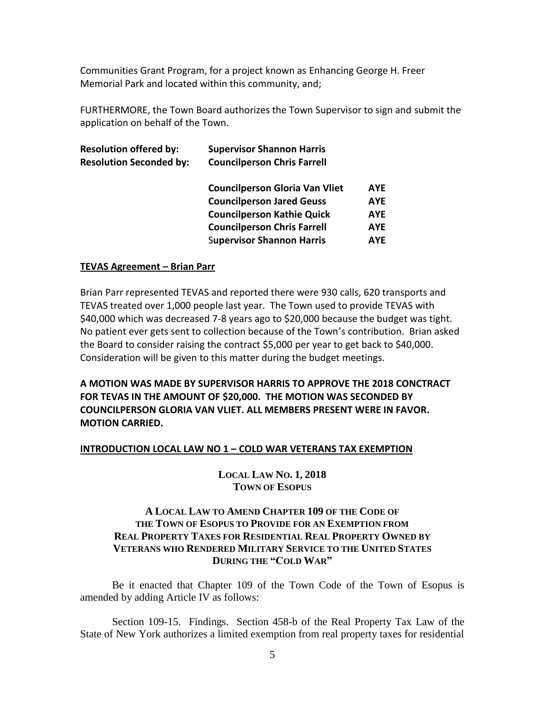Communities Grant Program, for a project known as Enhancing George H. Freer Memorial Park and located within this community, and;

FURTHERMORE, the Town Board authorizes the Town Supervisor to sign and submit the application on behalf of the Town.

| <b>Resolution offered by:</b>  | <b>Supervisor Shannon Harris</b>      |            |  |  |
|--------------------------------|---------------------------------------|------------|--|--|
| <b>Resolution Seconded by:</b> | <b>Councilperson Chris Farrell</b>    |            |  |  |
|                                | <b>Councilperson Gloria Van Vliet</b> | <b>AYE</b> |  |  |
|                                | <b>Councilperson Jared Geuss</b>      | <b>AYE</b> |  |  |
|                                | <b>Councilperson Kathie Quick</b>     | <b>AYE</b> |  |  |
|                                | <b>Councilperson Chris Farrell</b>    | <b>AYE</b> |  |  |
|                                | <b>Supervisor Shannon Harris</b>      | <b>AYE</b> |  |  |

#### **TEVAS Agreement – Brian Parr**

Brian Parr represented TEVAS and reported there were 930 calls, 620 transports and TEVAS treated over 1,000 people last year. The Town used to provide TEVAS with \$40,000 which was decreased 7-8 years ago to \$20,000 because the budget was tight. No patient ever gets sent to collection because of the Town's contribution. Brian asked the Board to consider raising the contract \$5,000 per year to get back to \$40,000. Consideration will be given to this matter during the budget meetings.

**A MOTION WAS MADE BY SUPERVISOR HARRIS TO APPROVE THE 2018 CONCTRACT FOR TEVAS IN THE AMOUNT OF \$20,000. THE MOTION WAS SECONDED BY COUNCILPERSON GLORIA VAN VLIET. ALL MEMBERS PRESENT WERE IN FAVOR. MOTION CARRIED.** 

#### **INTRODUCTION LOCAL LAW NO 1 – COLD WAR VETERANS TAX EXEMPTION**

**LOCAL LAW NO. 1, 2018 TOWN OF ESOPUS**

#### **A LOCAL LAW TO AMEND CHAPTER 109 OF THE CODE OF THE TOWN OF ESOPUS TO PROVIDE FOR AN EXEMPTION FROM REAL PROPERTY TAXES FOR RESIDENTIAL REAL PROPERTY OWNED BY VETERANS WHO RENDERED MILITARY SERVICE TO THE UNITED STATES DURING THE "COLD WAR"**

Be it enacted that Chapter 109 of the Town Code of the Town of Esopus is amended by adding Article IV as follows:

Section 109-15. Findings. Section 458-b of the Real Property Tax Law of the State of New York authorizes a limited exemption from real property taxes for residential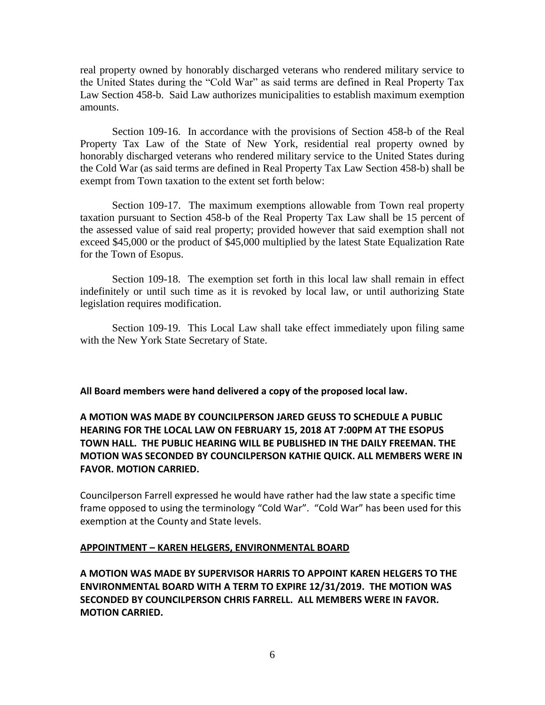real property owned by honorably discharged veterans who rendered military service to the United States during the "Cold War" as said terms are defined in Real Property Tax Law Section 458-b. Said Law authorizes municipalities to establish maximum exemption amounts.

Section 109-16. In accordance with the provisions of Section 458-b of the Real Property Tax Law of the State of New York, residential real property owned by honorably discharged veterans who rendered military service to the United States during the Cold War (as said terms are defined in Real Property Tax Law Section 458-b) shall be exempt from Town taxation to the extent set forth below:

Section 109-17. The maximum exemptions allowable from Town real property taxation pursuant to Section 458-b of the Real Property Tax Law shall be 15 percent of the assessed value of said real property; provided however that said exemption shall not exceed \$45,000 or the product of \$45,000 multiplied by the latest State Equalization Rate for the Town of Esopus.

Section 109-18. The exemption set forth in this local law shall remain in effect indefinitely or until such time as it is revoked by local law, or until authorizing State legislation requires modification.

Section 109-19. This Local Law shall take effect immediately upon filing same with the New York State Secretary of State.

**All Board members were hand delivered a copy of the proposed local law.** 

# **A MOTION WAS MADE BY COUNCILPERSON JARED GEUSS TO SCHEDULE A PUBLIC HEARING FOR THE LOCAL LAW ON FEBRUARY 15, 2018 AT 7:00PM AT THE ESOPUS TOWN HALL. THE PUBLIC HEARING WILL BE PUBLISHED IN THE DAILY FREEMAN. THE MOTION WAS SECONDED BY COUNCILPERSON KATHIE QUICK. ALL MEMBERS WERE IN FAVOR. MOTION CARRIED.**

Councilperson Farrell expressed he would have rather had the law state a specific time frame opposed to using the terminology "Cold War". "Cold War" has been used for this exemption at the County and State levels.

#### **APPOINTMENT – KAREN HELGERS, ENVIRONMENTAL BOARD**

**A MOTION WAS MADE BY SUPERVISOR HARRIS TO APPOINT KAREN HELGERS TO THE ENVIRONMENTAL BOARD WITH A TERM TO EXPIRE 12/31/2019. THE MOTION WAS SECONDED BY COUNCILPERSON CHRIS FARRELL. ALL MEMBERS WERE IN FAVOR. MOTION CARRIED.**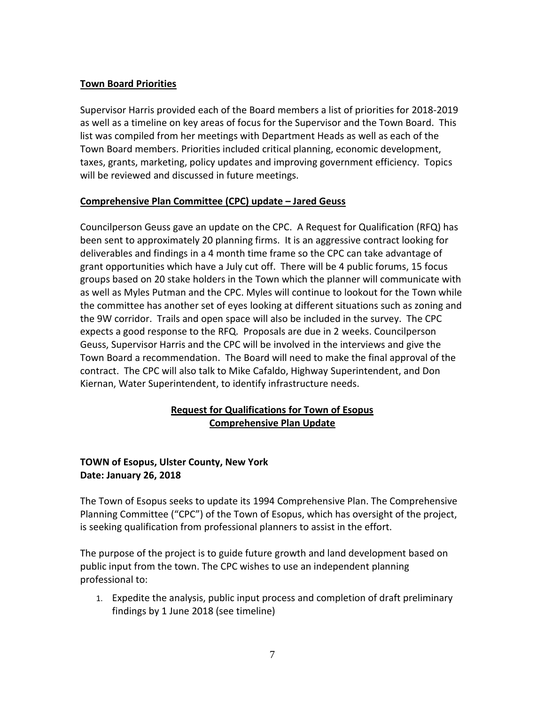### **Town Board Priorities**

Supervisor Harris provided each of the Board members a list of priorities for 2018-2019 as well as a timeline on key areas of focus for the Supervisor and the Town Board. This list was compiled from her meetings with Department Heads as well as each of the Town Board members. Priorities included critical planning, economic development, taxes, grants, marketing, policy updates and improving government efficiency. Topics will be reviewed and discussed in future meetings.

### **Comprehensive Plan Committee (CPC) update – Jared Geuss**

Councilperson Geuss gave an update on the CPC. A Request for Qualification (RFQ) has been sent to approximately 20 planning firms. It is an aggressive contract looking for deliverables and findings in a 4 month time frame so the CPC can take advantage of grant opportunities which have a July cut off. There will be 4 public forums, 15 focus groups based on 20 stake holders in the Town which the planner will communicate with as well as Myles Putman and the CPC. Myles will continue to lookout for the Town while the committee has another set of eyes looking at different situations such as zoning and the 9W corridor. Trails and open space will also be included in the survey. The CPC expects a good response to the RFQ. Proposals are due in 2 weeks. Councilperson Geuss, Supervisor Harris and the CPC will be involved in the interviews and give the Town Board a recommendation. The Board will need to make the final approval of the contract. The CPC will also talk to Mike Cafaldo, Highway Superintendent, and Don Kiernan, Water Superintendent, to identify infrastructure needs.

# **Request for Qualifications for Town of Esopus Comprehensive Plan Update**

# **TOWN of Esopus, Ulster County, New York Date: January 26, 2018**

The Town of Esopus seeks to update its 1994 Comprehensive Plan. The Comprehensive Planning Committee ("CPC") of the Town of Esopus, which has oversight of the project, is seeking qualification from professional planners to assist in the effort.

The purpose of the project is to guide future growth and land development based on public input from the town. The CPC wishes to use an independent planning professional to:

1. Expedite the analysis, public input process and completion of draft preliminary findings by 1 June 2018 (see timeline)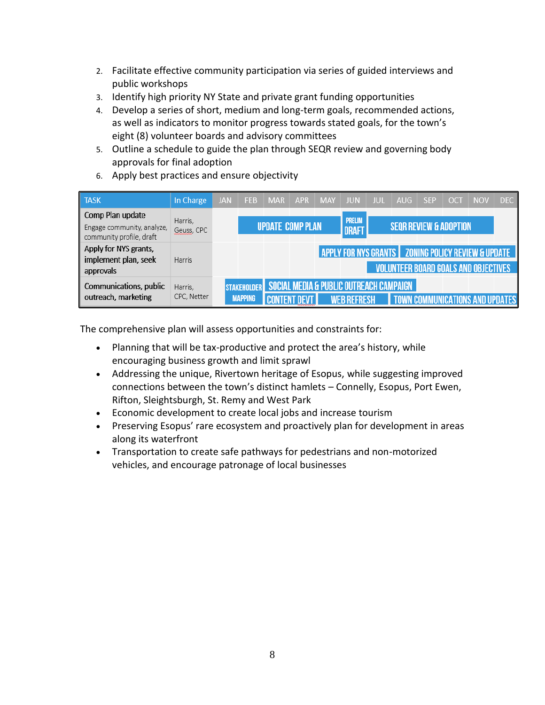- 2. Facilitate effective community participation via series of guided interviews and public workshops
- 3. Identify high priority NY State and private grant funding opportunities
- 4. Develop a series of short, medium and long-term goals, recommended actions, as well as indicators to monitor progress towards stated goals, for the town's eight (8) volunteer boards and advisory committees
- 5. Outline a schedule to guide the plan through SEQR review and governing body approvals for final adoption
- 6. Apply best practices and ensure objectivity

| <b>TASK</b>                                                                | In Charge              | <b>JAN</b> | <b>FEB</b>                           | <b>MAR</b>              | <b>APR</b> | <b>MAY</b> | <b>JUN</b>                                                  | JUI | AUG                                                                                                  | <b>SEP</b> | OC <sub>1</sub> | <b>NOV</b> | DEC. |
|----------------------------------------------------------------------------|------------------------|------------|--------------------------------------|-------------------------|------------|------------|-------------------------------------------------------------|-----|------------------------------------------------------------------------------------------------------|------------|-----------------|------------|------|
| Comp Plan update<br>Engage community, analyze,<br>community profile, draft | Harris,<br>Geuss, CPC  |            |                                      | <b>UPDATE COMP PLAN</b> |            |            | <b>PRELIM</b><br><b>DRAFT</b>                               |     | <b>SEQR REVIEW &amp; ADOPTION</b>                                                                    |            |                 |            |      |
| Apply for NYS grants,<br>implement plan, seek<br>approvals                 | <b>Harris</b>          |            |                                      |                         |            |            |                                                             |     | APPLY FOR NYS GRANTS   ZONING POLICY REVIEW & UPDATE<br><b>VOLUNTEER BOARD GOALS AND OBJECTIVES.</b> |            |                 |            |      |
| Communications, public<br>outreach, marketing                              | Harris,<br>CPC, Netter |            | <b>STAKEHOLDER</b><br><b>MAPPING</b> |                         |            |            | SOCIAL MEDIA & PUBLIC OUTREACH CAMPAIGN<br><b>B REFRESH</b> |     |                                                                                                      |            |                 |            |      |

The comprehensive plan will assess opportunities and constraints for:

- Planning that will be tax-productive and protect the area's history, while encouraging business growth and limit sprawl
- Addressing the unique, Rivertown heritage of Esopus, while suggesting improved connections between the town's distinct hamlets – Connelly, Esopus, Port Ewen, Rifton, Sleightsburgh, St. Remy and West Park
- Economic development to create local jobs and increase tourism
- Preserving Esopus' rare ecosystem and proactively plan for development in areas along its waterfront
- Transportation to create safe pathways for pedestrians and non-motorized vehicles, and encourage patronage of local businesses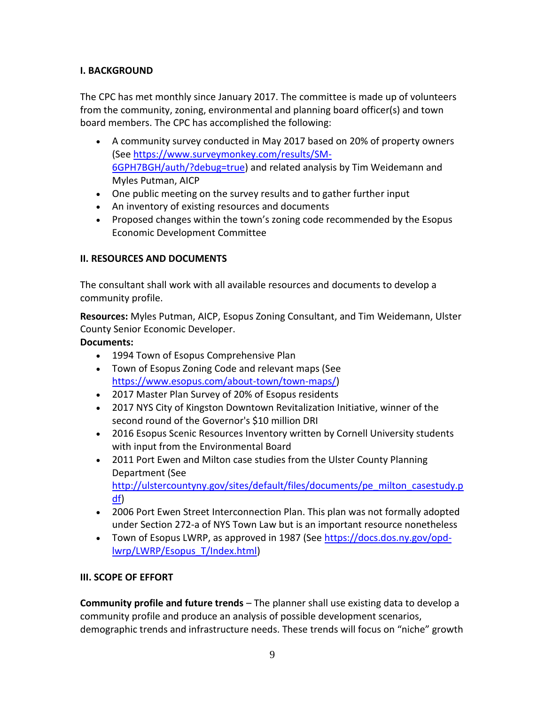# **I. BACKGROUND**

The CPC has met monthly since January 2017. The committee is made up of volunteers from the community, zoning, environmental and planning board officer(s) and town board members. The CPC has accomplished the following:

- A community survey conducted in May 2017 based on 20% of property owners (See [https://www.surveymonkey.com/results/SM-](https://www.surveymonkey.com/results/SM-6GPH7BGH/auth/?debug=true)[6GPH7BGH/auth/?debug=true\)](https://www.surveymonkey.com/results/SM-6GPH7BGH/auth/?debug=true) and related analysis by Tim Weidemann and Myles Putman, AICP
- One public meeting on the survey results and to gather further input
- An inventory of existing resources and documents
- Proposed changes within the town's zoning code recommended by the Esopus Economic Development Committee

## **II. RESOURCES AND DOCUMENTS**

The consultant shall work with all available resources and documents to develop a community profile.

**Resources:** Myles Putman, AICP, Esopus Zoning Consultant, and Tim Weidemann, Ulster County Senior Economic Developer.

## **Documents:**

- 1994 Town of Esopus Comprehensive Plan
- Town of Esopus Zoning Code and relevant maps (See [https://www.esopus.com/about-town/town-maps/\)](https://www.esopus.com/about-town/town-maps/)
- 2017 Master Plan Survey of 20% of Esopus residents
- 2017 NYS City of Kingston Downtown Revitalization Initiative, winner of the second round of the Governor's \$10 million DRI
- 2016 Esopus Scenic Resources Inventory written by Cornell University students with input from the Environmental Board
- 2011 Port Ewen and Milton case studies from the Ulster County Planning Department (See [http://ulstercountyny.gov/sites/default/files/documents/pe\\_milton\\_casestudy.p](http://ulstercountyny.gov/sites/default/files/documents/pe_milton_casestudy.pdf) [df\)](http://ulstercountyny.gov/sites/default/files/documents/pe_milton_casestudy.pdf)
- 2006 Port Ewen Street Interconnection Plan. This plan was not formally adopted under Section 272-a of NYS Town Law but is an important resource nonetheless
- Town of Esopus LWRP, as approved in 1987 (See [https://docs.dos.ny.gov/opd](https://docs.dos.ny.gov/opd-lwrp/LWRP/Esopus_T/Index.html)[lwrp/LWRP/Esopus\\_T/Index.html\)](https://docs.dos.ny.gov/opd-lwrp/LWRP/Esopus_T/Index.html)

## **III. SCOPE OF EFFORT**

**Community profile and future trends** – The planner shall use existing data to develop a community profile and produce an analysis of possible development scenarios, demographic trends and infrastructure needs. These trends will focus on "niche" growth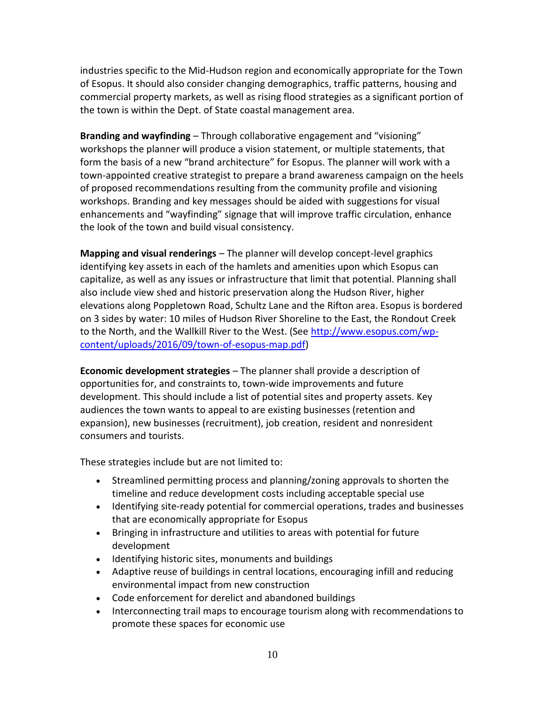industries specific to the Mid-Hudson region and economically appropriate for the Town of Esopus. It should also consider changing demographics, traffic patterns, housing and commercial property markets, as well as rising flood strategies as a significant portion of the town is within the Dept. of State coastal management area.

**Branding and wayfinding** – Through collaborative engagement and "visioning" workshops the planner will produce a vision statement, or multiple statements, that form the basis of a new "brand architecture" for Esopus. The planner will work with a town-appointed creative strategist to prepare a brand awareness campaign on the heels of proposed recommendations resulting from the community profile and visioning workshops. Branding and key messages should be aided with suggestions for visual enhancements and "wayfinding" signage that will improve traffic circulation, enhance the look of the town and build visual consistency.

**Mapping and visual renderings** – The planner will develop concept-level graphics identifying key assets in each of the hamlets and amenities upon which Esopus can capitalize, as well as any issues or infrastructure that limit that potential. Planning shall also include view shed and historic preservation along the Hudson River, higher elevations along Poppletown Road, Schultz Lane and the Rifton area. Esopus is bordered on 3 sides by water: 10 miles of Hudson River Shoreline to the East, the Rondout Creek to the North, and the Wallkill River to the West. (See [http://www.esopus.com/wp](http://www.esopus.com/wp-content/uploads/2016/09/town-of-esopus-map.pdf)[content/uploads/2016/09/town-of-esopus-map.pdf\)](http://www.esopus.com/wp-content/uploads/2016/09/town-of-esopus-map.pdf)

**Economic development strategies** – The planner shall provide a description of opportunities for, and constraints to, town-wide improvements and future development. This should include a list of potential sites and property assets. Key audiences the town wants to appeal to are existing businesses (retention and expansion), new businesses (recruitment), job creation, resident and nonresident consumers and tourists.

These strategies include but are not limited to:

- Streamlined permitting process and planning/zoning approvals to shorten the timeline and reduce development costs including acceptable special use
- Identifying site-ready potential for commercial operations, trades and businesses that are economically appropriate for Esopus
- Bringing in infrastructure and utilities to areas with potential for future development
- Identifying historic sites, monuments and buildings
- Adaptive reuse of buildings in central locations, encouraging infill and reducing environmental impact from new construction
- Code enforcement for derelict and abandoned buildings
- Interconnecting trail maps to encourage tourism along with recommendations to promote these spaces for economic use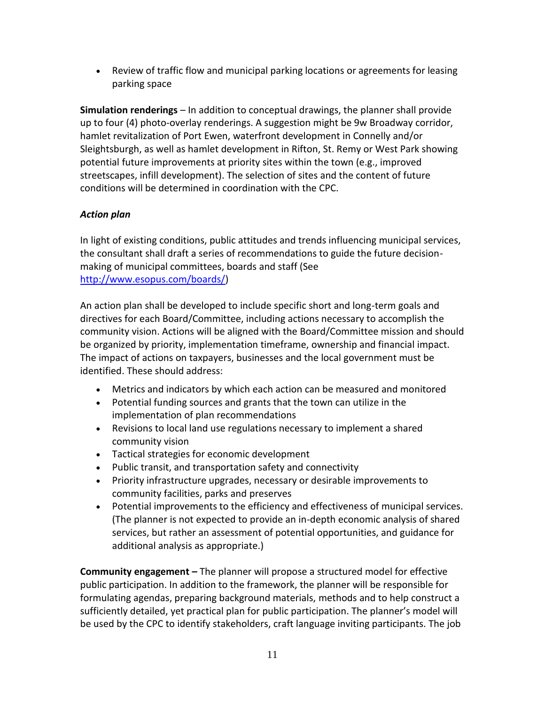Review of traffic flow and municipal parking locations or agreements for leasing parking space

**Simulation renderings** – In addition to conceptual drawings, the planner shall provide up to four (4) photo-overlay renderings. A suggestion might be 9w Broadway corridor, hamlet revitalization of Port Ewen, waterfront development in Connelly and/or Sleightsburgh, as well as hamlet development in Rifton, St. Remy or West Park showing potential future improvements at priority sites within the town (e.g., improved streetscapes, infill development). The selection of sites and the content of future conditions will be determined in coordination with the CPC.

## *Action plan*

In light of existing conditions, public attitudes and trends influencing municipal services, the consultant shall draft a series of recommendations to guide the future decisionmaking of municipal committees, boards and staff (See [http://www.esopus.com/boards/\)](http://www.esopus.com/boards/)

An action plan shall be developed to include specific short and long-term goals and directives for each Board/Committee, including actions necessary to accomplish the community vision. Actions will be aligned with the Board/Committee mission and should be organized by priority, implementation timeframe, ownership and financial impact. The impact of actions on taxpayers, businesses and the local government must be identified. These should address:

- Metrics and indicators by which each action can be measured and monitored
- Potential funding sources and grants that the town can utilize in the implementation of plan recommendations
- Revisions to local land use regulations necessary to implement a shared community vision
- Tactical strategies for economic development
- Public transit, and transportation safety and connectivity
- Priority infrastructure upgrades, necessary or desirable improvements to community facilities, parks and preserves
- Potential improvements to the efficiency and effectiveness of municipal services. (The planner is not expected to provide an in-depth economic analysis of shared services, but rather an assessment of potential opportunities, and guidance for additional analysis as appropriate.)

**Community engagement –** The planner will propose a structured model for effective public participation. In addition to the framework, the planner will be responsible for formulating agendas, preparing background materials, methods and to help construct a sufficiently detailed, yet practical plan for public participation. The planner's model will be used by the CPC to identify stakeholders, craft language inviting participants. The job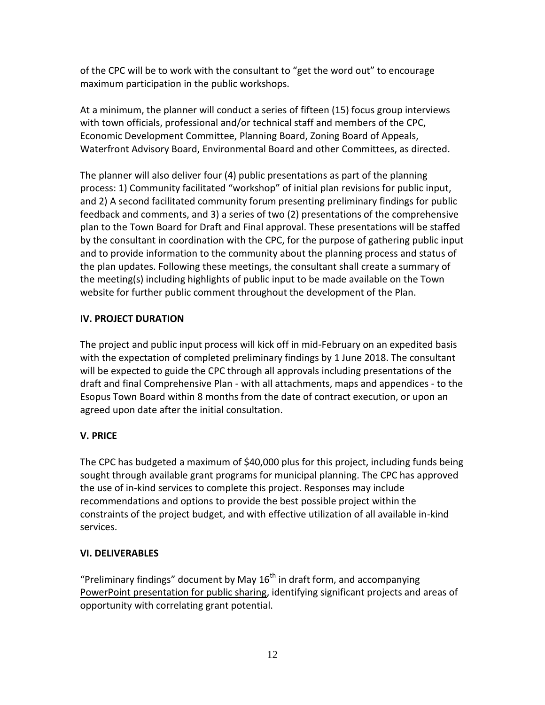of the CPC will be to work with the consultant to "get the word out" to encourage maximum participation in the public workshops.

At a minimum, the planner will conduct a series of fifteen (15) focus group interviews with town officials, professional and/or technical staff and members of the CPC, Economic Development Committee, Planning Board, Zoning Board of Appeals, Waterfront Advisory Board, Environmental Board and other Committees, as directed.

The planner will also deliver four (4) public presentations as part of the planning process: 1) Community facilitated "workshop" of initial plan revisions for public input, and 2) A second facilitated community forum presenting preliminary findings for public feedback and comments, and 3) a series of two (2) presentations of the comprehensive plan to the Town Board for Draft and Final approval. These presentations will be staffed by the consultant in coordination with the CPC, for the purpose of gathering public input and to provide information to the community about the planning process and status of the plan updates. Following these meetings, the consultant shall create a summary of the meeting(s) including highlights of public input to be made available on the Town website for further public comment throughout the development of the Plan.

# **IV. PROJECT DURATION**

The project and public input process will kick off in mid-February on an expedited basis with the expectation of completed preliminary findings by 1 June 2018. The consultant will be expected to guide the CPC through all approvals including presentations of the draft and final Comprehensive Plan - with all attachments, maps and appendices - to the Esopus Town Board within 8 months from the date of contract execution, or upon an agreed upon date after the initial consultation.

## **V. PRICE**

The CPC has budgeted a maximum of \$40,000 plus for this project, including funds being sought through available grant programs for municipal planning. The CPC has approved the use of in-kind services to complete this project. Responses may include recommendations and options to provide the best possible project within the constraints of the project budget, and with effective utilization of all available in-kind services.

## **VI. DELIVERABLES**

"Preliminary findings" document by May  $16<sup>th</sup>$  in draft form, and accompanying PowerPoint presentation for public sharing, identifying significant projects and areas of opportunity with correlating grant potential.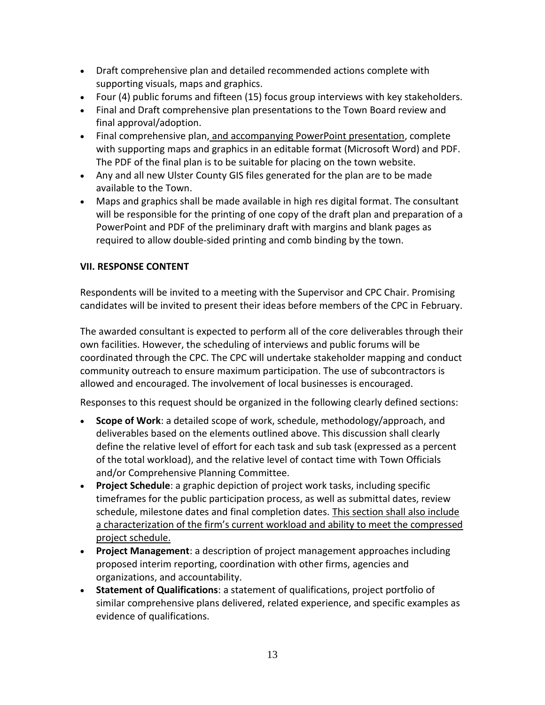- Draft comprehensive plan and detailed recommended actions complete with supporting visuals, maps and graphics.
- Four (4) public forums and fifteen (15) focus group interviews with key stakeholders.
- Final and Draft comprehensive plan presentations to the Town Board review and final approval/adoption.
- Final comprehensive plan, and accompanying PowerPoint presentation, complete with supporting maps and graphics in an editable format (Microsoft Word) and PDF. The PDF of the final plan is to be suitable for placing on the town website.
- Any and all new Ulster County GIS files generated for the plan are to be made available to the Town.
- Maps and graphics shall be made available in high res digital format. The consultant will be responsible for the printing of one copy of the draft plan and preparation of a PowerPoint and PDF of the preliminary draft with margins and blank pages as required to allow double-sided printing and comb binding by the town.

## **VII. RESPONSE CONTENT**

Respondents will be invited to a meeting with the Supervisor and CPC Chair. Promising candidates will be invited to present their ideas before members of the CPC in February.

The awarded consultant is expected to perform all of the core deliverables through their own facilities. However, the scheduling of interviews and public forums will be coordinated through the CPC. The CPC will undertake stakeholder mapping and conduct community outreach to ensure maximum participation. The use of subcontractors is allowed and encouraged. The involvement of local businesses is encouraged.

Responses to this request should be organized in the following clearly defined sections:

- **Scope of Work**: a detailed scope of work, schedule, methodology/approach, and deliverables based on the elements outlined above. This discussion shall clearly define the relative level of effort for each task and sub task (expressed as a percent of the total workload), and the relative level of contact time with Town Officials and/or Comprehensive Planning Committee.
- **Project Schedule**: a graphic depiction of project work tasks, including specific timeframes for the public participation process, as well as submittal dates, review schedule, milestone dates and final completion dates. This section shall also include a characterization of the firm's current workload and ability to meet the compressed project schedule.
- **Project Management**: a description of project management approaches including proposed interim reporting, coordination with other firms, agencies and organizations, and accountability.
- **Statement of Qualifications**: a statement of qualifications, project portfolio of similar comprehensive plans delivered, related experience, and specific examples as evidence of qualifications.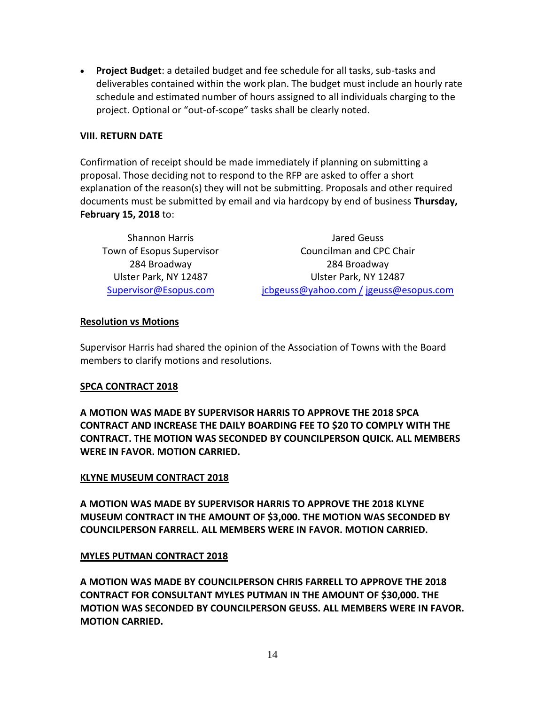**Project Budget**: a detailed budget and fee schedule for all tasks, sub-tasks and deliverables contained within the work plan. The budget must include an hourly rate schedule and estimated number of hours assigned to all individuals charging to the project. Optional or "out-of-scope" tasks shall be clearly noted.

#### **VIII. RETURN DATE**

Confirmation of receipt should be made immediately if planning on submitting a proposal. Those deciding not to respond to the RFP are asked to offer a short explanation of the reason(s) they will not be submitting. Proposals and other required documents must be submitted by email and via hardcopy by end of business **Thursday, February 15, 2018** to:

| <b>Shannon Harris</b>     | Jared Geuss                            |
|---------------------------|----------------------------------------|
| Town of Esopus Supervisor | Councilman and CPC Chair               |
| 284 Broadway              | 284 Broadway                           |
| Ulster Park, NY 12487     | Ulster Park, NY 12487                  |
| Supervisor@Esopus.com     | jcbgeuss@yahoo.com / jgeuss@esopus.com |

#### **Resolution vs Motions**

Supervisor Harris had shared the opinion of the Association of Towns with the Board members to clarify motions and resolutions.

#### **SPCA CONTRACT 2018**

**A MOTION WAS MADE BY SUPERVISOR HARRIS TO APPROVE THE 2018 SPCA CONTRACT AND INCREASE THE DAILY BOARDING FEE TO \$20 TO COMPLY WITH THE CONTRACT. THE MOTION WAS SECONDED BY COUNCILPERSON QUICK. ALL MEMBERS WERE IN FAVOR. MOTION CARRIED.**

#### **KLYNE MUSEUM CONTRACT 2018**

**A MOTION WAS MADE BY SUPERVISOR HARRIS TO APPROVE THE 2018 KLYNE MUSEUM CONTRACT IN THE AMOUNT OF \$3,000. THE MOTION WAS SECONDED BY COUNCILPERSON FARRELL. ALL MEMBERS WERE IN FAVOR. MOTION CARRIED.**

#### **MYLES PUTMAN CONTRACT 2018**

**A MOTION WAS MADE BY COUNCILPERSON CHRIS FARRELL TO APPROVE THE 2018 CONTRACT FOR CONSULTANT MYLES PUTMAN IN THE AMOUNT OF \$30,000. THE MOTION WAS SECONDED BY COUNCILPERSON GEUSS. ALL MEMBERS WERE IN FAVOR. MOTION CARRIED.**